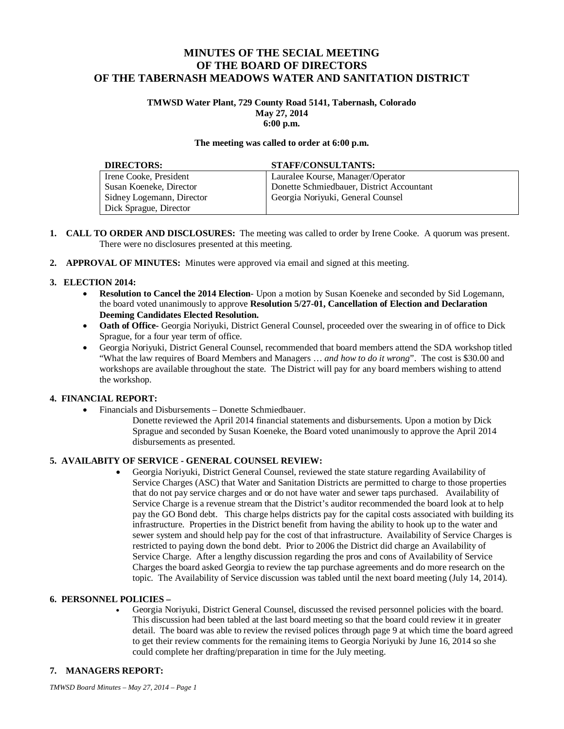# **MINUTES OF THE SECIAL MEETING OF THE BOARD OF DIRECTORS OF THE TABERNASH MEADOWS WATER AND SANITATION DISTRICT**

### **TMWSD Water Plant, 729 County Road 5141, Tabernash, Colorado May 27, 2014 6:00 p.m.**

### **The meeting was called to order at 6:00 p.m.**

| <b>DIRECTORS:</b>         | <b>STAFF/CONSULTANTS:</b>                 |
|---------------------------|-------------------------------------------|
| Irene Cooke, President    | Lauralee Kourse, Manager/Operator         |
| Susan Koeneke, Director   | Donette Schmiedbauer, District Accountant |
| Sidney Logemann, Director | Georgia Noriyuki, General Counsel         |
| Dick Sprague, Director    |                                           |

- **1. CALL TO ORDER AND DISCLOSURES:** The meeting was called to order by Irene Cooke. A quorum was present. There were no disclosures presented at this meeting.
- **2. APPROVAL OF MINUTES:** Minutes were approved via email and signed at this meeting.

# **3. ELECTION 2014:**

- **Resolution to Cancel the 2014 Election** Upon a motion by Susan Koeneke and seconded by Sid Logemann, the board voted unanimously to approve **Resolution 5/27-01, Cancellation of Election and Declaration Deeming Candidates Elected Resolution.**
- **Oath of Office-** Georgia Noriyuki, District General Counsel, proceeded over the swearing in of office to Dick Sprague, for a four year term of office.
- Georgia Noriyuki, District General Counsel, recommended that board members attend the SDA workshop titled "What the law requires of Board Members and Managers … *and how to do it wrong*". The cost is \$30.00 and workshops are available throughout the state. The District will pay for any board members wishing to attend the workshop.

# **4. FINANCIAL REPORT:**

- Financials and Disbursements Donette Schmiedbauer.
	- Donette reviewed the April 2014 financial statements and disbursements. Upon a motion by Dick Sprague and seconded by Susan Koeneke, the Board voted unanimously to approve the April 2014 disbursements as presented.

# **5. AVAILABITY OF SERVICE - GENERAL COUNSEL REVIEW:**

 Georgia Noriyuki, District General Counsel, reviewed the state stature regarding Availability of Service Charges (ASC) that Water and Sanitation Districts are permitted to charge to those properties that do not pay service charges and or do not have water and sewer taps purchased. Availability of Service Charge is a revenue stream that the District's auditor recommended the board look at to help pay the GO Bond debt. This charge helps districts pay for the capital costs associated with building its infrastructure. Properties in the District benefit from having the ability to hook up to the water and sewer system and should help pay for the cost of that infrastructure. Availability of Service Charges is restricted to paying down the bond debt. Prior to 2006 the District did charge an Availability of Service Charge. After a lengthy discussion regarding the pros and cons of Availability of Service Charges the board asked Georgia to review the tap purchase agreements and do more research on the topic. The Availability of Service discussion was tabled until the next board meeting (July 14, 2014).

# **6. PERSONNEL POLICIES –**

 Georgia Noriyuki, District General Counsel, discussed the revised personnel policies with the board. This discussion had been tabled at the last board meeting so that the board could review it in greater detail. The board was able to review the revised polices through page 9 at which time the board agreed to get their review comments for the remaining items to Georgia Noriyuki by June 16, 2014 so she could complete her drafting/preparation in time for the July meeting.

# **7. MANAGERS REPORT:**